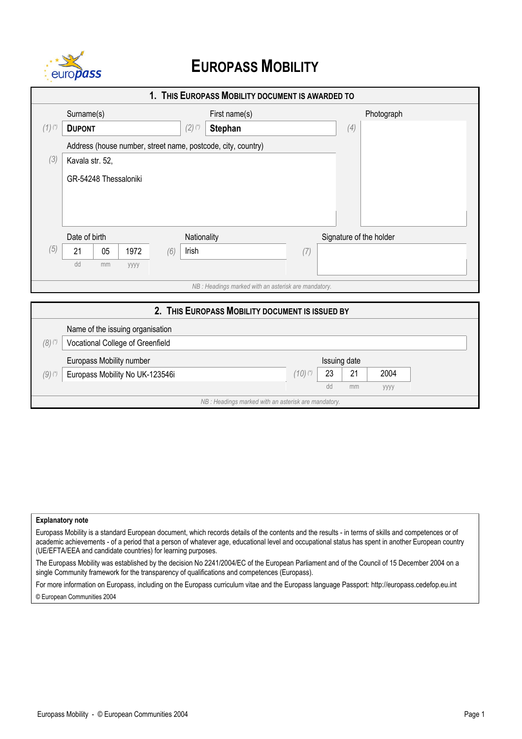

## **EUROPASS MOBILITY**

| 1. THIS EUROPASS MOBILITY DOCUMENT IS AWARDED TO |                                                              |                                                      |                         |            |  |  |
|--------------------------------------------------|--------------------------------------------------------------|------------------------------------------------------|-------------------------|------------|--|--|
|                                                  | Surname(s)                                                   | First name(s)                                        |                         | Photograph |  |  |
| $(1)^{(*)}$                                      | <b>DUPONT</b>                                                | $(2)$ $(*)$<br><b>Stephan</b>                        | (4)                     |            |  |  |
|                                                  | Address (house number, street name, postcode, city, country) |                                                      |                         |            |  |  |
| (3)                                              | Kavala str. 52,                                              |                                                      |                         |            |  |  |
|                                                  | GR-54248 Thessaloniki                                        |                                                      |                         |            |  |  |
|                                                  |                                                              |                                                      |                         |            |  |  |
|                                                  |                                                              |                                                      |                         |            |  |  |
|                                                  |                                                              |                                                      |                         |            |  |  |
|                                                  | Date of birth                                                | Nationality                                          | Signature of the holder |            |  |  |
| (5)                                              | 1972<br>21<br>05<br>(6)                                      | Irish                                                | (7)                     |            |  |  |
|                                                  | dd<br>mm<br>уууу                                             |                                                      |                         |            |  |  |
|                                                  |                                                              | NB : Headings marked with an asterisk are mandatory. |                         |            |  |  |
|                                                  |                                                              | 2. THIS EUROPASS MOBILITY DOCUMENT IS ISSUED BY      |                         |            |  |  |
|                                                  |                                                              |                                                      |                         |            |  |  |
|                                                  | Name of the issuing organisation                             |                                                      |                         |            |  |  |
| $(8)$ (*)                                        | Vocational College of Greenfield                             |                                                      |                         |            |  |  |
|                                                  | Europass Mobility number                                     |                                                      | Issuing date            |            |  |  |
| $(9)$ (*)                                        | Europass Mobility No UK-123546i                              |                                                      | $(10)$ (*)<br>23<br>21  | 2004       |  |  |

dd mm yyyy

## **Explanatory note**

Europass Mobility is a standard European document, which records details of the contents and the results - in terms of skills and competences or of academic achievements - of a period that a person of whatever age, educational level and occupational status has spent in another European country (UE/EFTA/EEA and candidate countries) for learning purposes.

*NB : Headings marked with an asterisk are mandatory.*

The Europass Mobility was established by the decision No 2241/2004/EC of the European Parliament and of the Council of 15 December 2004 on a single Community framework for the transparency of qualifications and competences (Europass).

For more information on Europass, including on the Europass curriculum vitae and the Europass language Passport: http://europass.cedefop.eu.int © European Communities 2004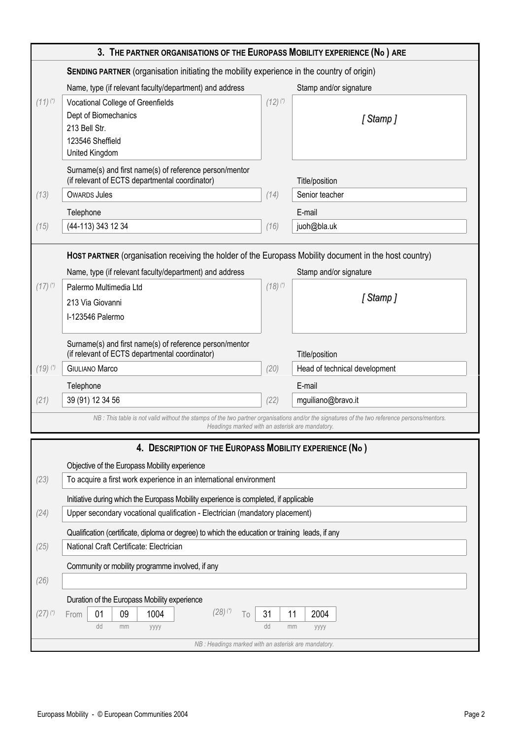| 3. THE PARTNER ORGANISATIONS OF THE EUROPASS MOBILITY EXPERIENCE (No) ARE                                                                                                                       |                                                                                                                                                                                                                    |            |                               |  |  |
|-------------------------------------------------------------------------------------------------------------------------------------------------------------------------------------------------|--------------------------------------------------------------------------------------------------------------------------------------------------------------------------------------------------------------------|------------|-------------------------------|--|--|
| <b>SENDING PARTNER</b> (organisation initiating the mobility experience in the country of origin)                                                                                               |                                                                                                                                                                                                                    |            |                               |  |  |
|                                                                                                                                                                                                 | Name, type (if relevant faculty/department) and address                                                                                                                                                            |            | Stamp and/or signature        |  |  |
| $(11)^{(*)}$                                                                                                                                                                                    | Vocational College of Greenfields<br>Dept of Biomechanics<br>213 Bell Str.<br>123546 Sheffield<br>United Kingdom                                                                                                   | $(12)$ (*) | [Stamp]                       |  |  |
|                                                                                                                                                                                                 | Surname(s) and first name(s) of reference person/mentor<br>(if relevant of ECTS departmental coordinator)                                                                                                          |            | Title/position                |  |  |
| (13)                                                                                                                                                                                            | <b>OWARDS Jules</b>                                                                                                                                                                                                | (14)       | Senior teacher                |  |  |
|                                                                                                                                                                                                 | Telephone                                                                                                                                                                                                          |            | E-mail                        |  |  |
| (15)                                                                                                                                                                                            | (44-113) 343 12 34                                                                                                                                                                                                 | (16)       | juoh@bla.uk                   |  |  |
|                                                                                                                                                                                                 | HOST PARTNER (organisation receiving the holder of the Europass Mobility document in the host country)<br>Name, type (if relevant faculty/department) and address<br>Stamp and/or signature                        |            |                               |  |  |
| $(17)$ (*)                                                                                                                                                                                      | Palermo Multimedia Ltd<br>213 Via Giovanni                                                                                                                                                                         | $(18)$ (*) | [Stamp]                       |  |  |
|                                                                                                                                                                                                 | I-123546 Palermo                                                                                                                                                                                                   |            |                               |  |  |
|                                                                                                                                                                                                 | Surname(s) and first name(s) of reference person/mentor<br>(if relevant of ECTS departmental coordinator)                                                                                                          |            | Title/position                |  |  |
| $(19)$ (*)                                                                                                                                                                                      | <b>GIULIANO Marco</b>                                                                                                                                                                                              | (20)       | Head of technical development |  |  |
|                                                                                                                                                                                                 | Telephone                                                                                                                                                                                                          |            | E-mail                        |  |  |
| (21)                                                                                                                                                                                            | 39 (91) 12 34 56                                                                                                                                                                                                   | (22)       | mguiliano@bravo.it            |  |  |
| NB : This table is not valid without the stamps of the two partner organisations and/or the signatures of the two reference persons/mentors.<br>Headings marked with an asterisk are mandatory. |                                                                                                                                                                                                                    |            |                               |  |  |
| 4. DESCRIPTION OF THE EUROPASS MOBILITY EXPERIENCE (No)                                                                                                                                         |                                                                                                                                                                                                                    |            |                               |  |  |
|                                                                                                                                                                                                 | Objective of the Europass Mobility experience                                                                                                                                                                      |            |                               |  |  |
| (23)                                                                                                                                                                                            | To acquire a first work experience in an international environment                                                                                                                                                 |            |                               |  |  |
|                                                                                                                                                                                                 | Initiative during which the Europass Mobility experience is completed, if applicable                                                                                                                               |            |                               |  |  |
| (24)                                                                                                                                                                                            | Upper secondary vocational qualification - Electrician (mandatory placement)                                                                                                                                       |            |                               |  |  |
| (25)                                                                                                                                                                                            | Qualification (certificate, diploma or degree) to which the education or training leads, if any<br>National Craft Certificate: Electrician                                                                         |            |                               |  |  |
|                                                                                                                                                                                                 | Community or mobility programme involved, if any                                                                                                                                                                   |            |                               |  |  |
| (26)                                                                                                                                                                                            |                                                                                                                                                                                                                    |            |                               |  |  |
| $(27)$ (*)                                                                                                                                                                                      | Duration of the Europass Mobility experience<br>$(28)$ $(*)$<br>1004<br>01<br>09<br>31<br>11<br>2004<br>To<br>From<br>dd<br>dd<br>mm<br>mm<br>уууу<br>уууу<br>NB : Headings marked with an asterisk are mandatory. |            |                               |  |  |